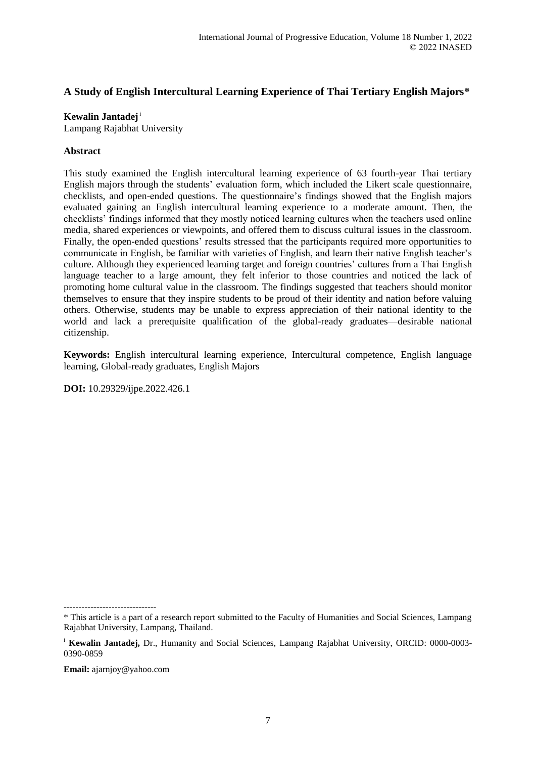# **A Study of English Intercultural Learning Experience of Thai Tertiary English Majors\***

**Kewalin Jantadej**<sup>i</sup>

Lampang Rajabhat University

### **Abstract**

This study examined the English intercultural learning experience of 63 fourth-year Thai tertiary English majors through the students' evaluation form, which included the Likert scale questionnaire, checklists, and open-ended questions. The questionnaire's findings showed that the English majors evaluated gaining an English intercultural learning experience to a moderate amount. Then, the checklists' findings informed that they mostly noticed learning cultures when the teachers used online media, shared experiences or viewpoints, and offered them to discuss cultural issues in the classroom. Finally, the open-ended questions' results stressed that the participants required more opportunities to communicate in English, be familiar with varieties of English, and learn their native English teacher's culture. Although they experienced learning target and foreign countries' cultures from a Thai English language teacher to a large amount, they felt inferior to those countries and noticed the lack of promoting home cultural value in the classroom. The findings suggested that teachers should monitor themselves to ensure that they inspire students to be proud of their identity and nation before valuing others. Otherwise, students may be unable to express appreciation of their national identity to the world and lack a prerequisite qualification of the global-ready graduates—desirable national citizenship.

**Keywords:** English intercultural learning experience, Intercultural competence, English language learning, Global-ready graduates, English Majors

**DOI:** 10.29329/ijpe.2022.426.1

**Email:** ajarnjoy@yahoo.com

-------------------------------

<sup>\*</sup> This article is a part of a research report submitted to the Faculty of Humanities and Social Sciences, Lampang Rajabhat University, Lampang, Thailand.

<sup>i</sup> **Kewalin Jantadej,** Dr., Humanity and Social Sciences, Lampang Rajabhat University, ORCID: 0000-0003- 0390-0859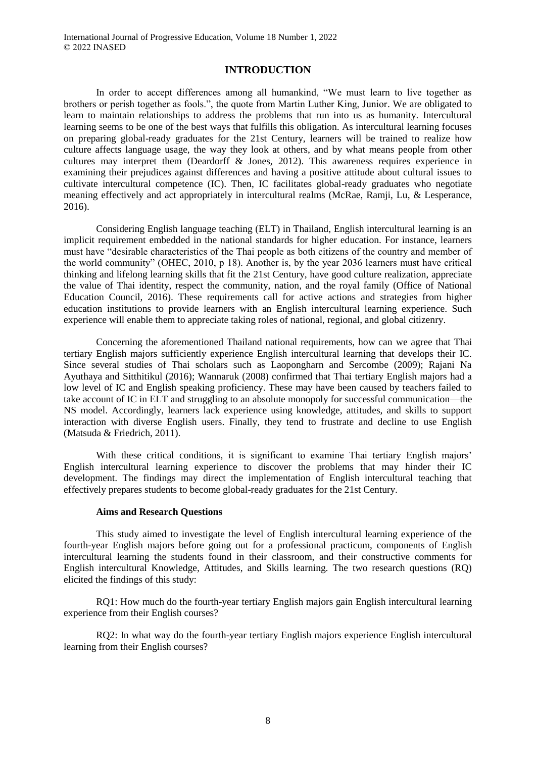### **INTRODUCTION**

In order to accept differences among all humankind, "We must learn to live together as brothers or perish together as fools.", the quote from Martin Luther King, Junior. We are obligated to learn to maintain relationships to address the problems that run into us as humanity. Intercultural learning seems to be one of the best ways that fulfills this obligation. As intercultural learning focuses on preparing global-ready graduates for the 21st Century, learners will be trained to realize how culture affects language usage, the way they look at others, and by what means people from other cultures may interpret them (Deardorff & Jones, 2012). This awareness requires experience in examining their prejudices against differences and having a positive attitude about cultural issues to cultivate intercultural competence (IC). Then, IC facilitates global-ready graduates who negotiate meaning effectively and act appropriately in intercultural realms (McRae, Ramji, Lu, & Lesperance, 2016).

Considering English language teaching (ELT) in Thailand, English intercultural learning is an implicit requirement embedded in the national standards for higher education. For instance, learners must have "desirable characteristics of the Thai people as both citizens of the country and member of the world community" (OHEC, 2010, p 18). Another is, by the year 2036 learners must have critical thinking and lifelong learning skills that fit the 21st Century, have good culture realization, appreciate the value of Thai identity, respect the community, nation, and the royal family (Office of National Education Council, 2016). These requirements call for active actions and strategies from higher education institutions to provide learners with an English intercultural learning experience. Such experience will enable them to appreciate taking roles of national, regional, and global citizenry.

Concerning the aforementioned Thailand national requirements, how can we agree that Thai tertiary English majors sufficiently experience English intercultural learning that develops their IC. Since several studies of Thai scholars such as Laopongharn and Sercombe (2009); Rajani Na Ayuthaya and Sitthitikul (2016); Wannaruk (2008) confirmed that Thai tertiary English majors had a low level of IC and English speaking proficiency. These may have been caused by teachers failed to take account of IC in ELT and struggling to an absolute monopoly for successful communication—the NS model. Accordingly, learners lack experience using knowledge, attitudes, and skills to support interaction with diverse English users. Finally, they tend to frustrate and decline to use English (Matsuda & Friedrich, 2011).

With these critical conditions, it is significant to examine Thai tertiary English majors' English intercultural learning experience to discover the problems that may hinder their IC development. The findings may direct the implementation of English intercultural teaching that effectively prepares students to become global-ready graduates for the 21st Century.

#### **Aims and Research Questions**

This study aimed to investigate the level of English intercultural learning experience of the fourth-year English majors before going out for a professional practicum, components of English intercultural learning the students found in their classroom, and their constructive comments for English intercultural Knowledge, Attitudes, and Skills learning. The two research questions (RQ) elicited the findings of this study:

RQ1: How much do the fourth-year tertiary English majors gain English intercultural learning experience from their English courses?

RQ2: In what way do the fourth-year tertiary English majors experience English intercultural learning from their English courses?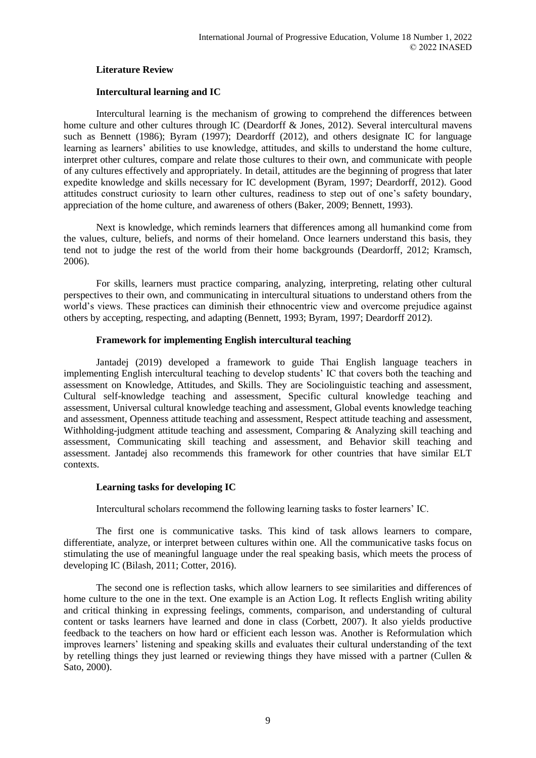## **Literature Review**

## **Intercultural learning and IC**

Intercultural learning is the mechanism of growing to comprehend the differences between home culture and other cultures through IC (Deardorff & Jones, 2012). Several intercultural mavens such as Bennett (1986); Byram (1997); Deardorff (2012), and others designate IC for language learning as learners' abilities to use knowledge, attitudes, and skills to understand the home culture, interpret other cultures, compare and relate those cultures to their own, and communicate with people of any cultures effectively and appropriately. In detail, attitudes are the beginning of progress that later expedite knowledge and skills necessary for IC development (Byram, 1997; Deardorff, 2012). Good attitudes construct curiosity to learn other cultures, readiness to step out of one's safety boundary, appreciation of the home culture, and awareness of others (Baker, 2009; Bennett, 1993).

Next is knowledge, which reminds learners that differences among all humankind come from the values, culture, beliefs, and norms of their homeland. Once learners understand this basis, they tend not to judge the rest of the world from their home backgrounds (Deardorff, 2012; Kramsch, 2006).

For skills, learners must practice comparing, analyzing, interpreting, relating other cultural perspectives to their own, and communicating in intercultural situations to understand others from the world's views. These practices can diminish their ethnocentric view and overcome prejudice against others by accepting, respecting, and adapting (Bennett, 1993; Byram, 1997; Deardorff 2012).

#### **Framework for implementing English intercultural teaching**

Jantadej (2019) developed a framework to guide Thai English language teachers in implementing English intercultural teaching to develop students' IC that covers both the teaching and assessment on Knowledge, Attitudes, and Skills. They are Sociolinguistic teaching and assessment, Cultural self-knowledge teaching and assessment, Specific cultural knowledge teaching and assessment, Universal cultural knowledge teaching and assessment, Global events knowledge teaching and assessment, Openness attitude teaching and assessment, Respect attitude teaching and assessment, Withholding-judgment attitude teaching and assessment, Comparing & Analyzing skill teaching and assessment, Communicating skill teaching and assessment, and Behavior skill teaching and assessment. Jantadej also recommends this framework for other countries that have similar ELT contexts.

## **Learning tasks for developing IC**

Intercultural scholars recommend the following learning tasks to foster learners' IC.

The first one is communicative tasks. This kind of task allows learners to compare, differentiate, analyze, or interpret between cultures within one. All the communicative tasks focus on stimulating the use of meaningful language under the real speaking basis, which meets the process of developing IC (Bilash, 2011; Cotter, 2016).

The second one is reflection tasks, which allow learners to see similarities and differences of home culture to the one in the text. One example is an Action Log. It reflects English writing ability and critical thinking in expressing feelings, comments, comparison, and understanding of cultural content or tasks learners have learned and done in class (Corbett, 2007). It also yields productive feedback to the teachers on how hard or efficient each lesson was. Another is Reformulation which improves learners' listening and speaking skills and evaluates their cultural understanding of the text by retelling things they just learned or reviewing things they have missed with a partner (Cullen & Sato, 2000).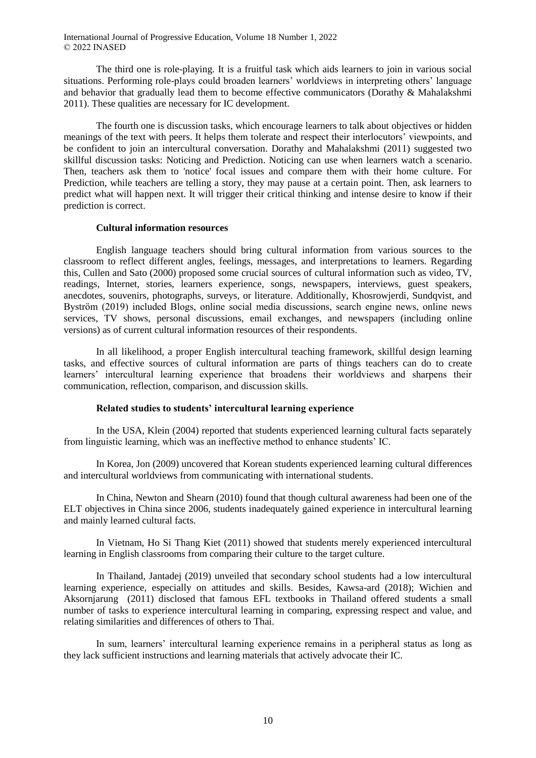The third one is role-playing. It is a fruitful task which aids learners to join in various social situations. Performing role-plays could broaden learners' worldviews in interpreting others' language and behavior that gradually lead them to become effective communicators (Dorathy & Mahalakshmi 2011). These qualities are necessary for IC development.

The fourth one is discussion tasks, which encourage learners to talk about objectives or hidden meanings of the text with peers. It helps them tolerate and respect their interlocutors' viewpoints, and be confident to join an intercultural conversation. Dorathy and Mahalakshmi (2011) suggested two skillful discussion tasks: Noticing and Prediction. Noticing can use when learners watch a scenario. Then, teachers ask them to 'notice' focal issues and compare them with their home culture. For Prediction, while teachers are telling a story, they may pause at a certain point. Then, ask learners to predict what will happen next. It will trigger their critical thinking and intense desire to know if their prediction is correct.

#### **Cultural information resources**

English language teachers should bring cultural information from various sources to the classroom to reflect different angles, feelings, messages, and interpretations to learners. Regarding this, Cullen and Sato (2000) proposed some crucial sources of cultural information such as video, TV, readings, Internet, stories, learners experience, songs, newspapers, interviews, guest speakers, anecdotes, souvenirs, photographs, surveys, or literature. Additionally, Khosrowjerdi, Sundqvist, and Byström (2019) included Blogs, online social media discussions, search engine news, online news services, TV shows, personal discussions, email exchanges, and newspapers (including online versions) as of current cultural information resources of their respondents.

In all likelihood, a proper English intercultural teaching framework, skillful design learning tasks, and effective sources of cultural information are parts of things teachers can do to create learners' intercultural learning experience that broadens their worldviews and sharpens their communication, reflection, comparison, and discussion skills.

#### **Related studies to students' intercultural learning experience**

In the USA, Klein (2004) reported that students experienced learning cultural facts separately from linguistic learning, which was an ineffective method to enhance students' IC.

In Korea, Jon (2009) uncovered that Korean students experienced learning cultural differences and intercultural worldviews from communicating with international students.

In China, Newton and Shearn (2010) found that though cultural awareness had been one of the ELT objectives in China since 2006, students inadequately gained experience in intercultural learning and mainly learned cultural facts.

In Vietnam, Ho Si Thang Kiet (2011) showed that students merely experienced intercultural learning in English classrooms from comparing their culture to the target culture.

In Thailand, Jantadej (2019) unveiled that secondary school students had a low intercultural learning experience, especially on attitudes and skills. Besides, Kawsa-ard (2018); Wichien and Aksornjarung (2011) disclosed that famous EFL textbooks in Thailand offered students a small number of tasks to experience intercultural learning in comparing, expressing respect and value, and relating similarities and differences of others to Thai.

In sum, learners' intercultural learning experience remains in a peripheral status as long as they lack sufficient instructions and learning materials that actively advocate their IC.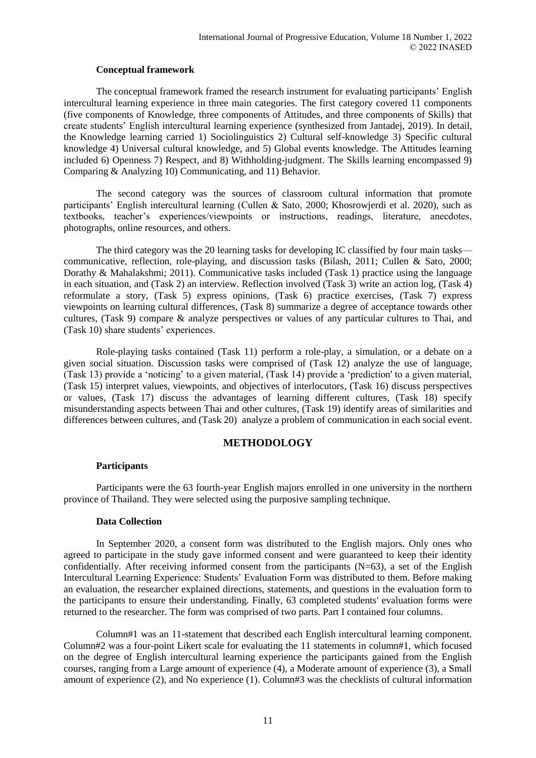## **Conceptual framework**

The conceptual framework framed the research instrument for evaluating participants' English intercultural learning experience in three main categories. The first category covered 11 components (five components of Knowledge, three components of Attitudes, and three components of Skills) that create students' English intercultural learning experience (synthesized from Jantadej, 2019). In detail, the Knowledge learning carried 1) Sociolinguistics 2) Cultural self-knowledge 3) Specific cultural knowledge 4) Universal cultural knowledge, and 5) Global events knowledge. The Attitudes learning included 6) Openness 7) Respect, and 8) Withholding-judgment. The Skills learning encompassed 9) Comparing & Analyzing 10) Communicating, and 11) Behavior.

The second category was the sources of classroom cultural information that promote participants' English intercultural learning (Cullen & Sato, 2000; Khosrowjerdi et al. 2020), such as textbooks, teacher's experiences/viewpoints or instructions, readings, literature, anecdotes, photographs, online resources, and others.

The third category was the 20 learning tasks for developing IC classified by four main tasks communicative, reflection, role-playing, and discussion tasks (Bilash, 2011; Cullen & Sato, 2000; Dorathy & Mahalakshmi; 2011). Communicative tasks included (Task 1) practice using the language in each situation, and (Task 2) an interview. Reflection involved (Task 3) write an action log, (Task 4) reformulate a story, (Task 5) express opinions, (Task 6) practice exercises, (Task 7) express viewpoints on learning cultural differences, (Task 8) summarize a degree of acceptance towards other cultures, (Task 9) compare & analyze perspectives or values of any particular cultures to Thai, and (Task 10) share students' experiences.

Role-playing tasks contained (Task 11) perform a role-play, a simulation, or a debate on a given social situation. Discussion tasks were comprised of (Task 12) analyze the use of language, (Task 13) provide a 'noticing' to a given material, (Task 14) provide a 'prediction' to a given material, (Task 15) interpret values, viewpoints, and objectives of interlocutors, (Task 16) discuss perspectives or values, (Task 17) discuss the advantages of learning different cultures, (Task 18) specify misunderstanding aspects between Thai and other cultures, (Task 19) identify areas of similarities and differences between cultures, and (Task 20) analyze a problem of communication in each social event.

## **METHODOLOGY**

## **Participants**

Participants were the 63 fourth-year English majors enrolled in one university in the northern province of Thailand. They were selected using the purposive sampling technique.

#### **Data Collection**

In September 2020, a consent form was distributed to the English majors. Only ones who agreed to participate in the study gave informed consent and were guaranteed to keep their identity confidentially. After receiving informed consent from the participants  $(N=63)$ , a set of the English Intercultural Learning Experience: Students' Evaluation Form was distributed to them. Before making an evaluation, the researcher explained directions, statements, and questions in the evaluation form to the participants to ensure their understanding. Finally, 63 completed students' evaluation forms were returned to the researcher. The form was comprised of two parts. Part I contained four columns.

Column#1 was an 11-statement that described each English intercultural learning component. Column#2 was a four-point Likert scale for evaluating the 11 statements in column#1, which focused on the degree of English intercultural learning experience the participants gained from the English courses, ranging from a Large amount of experience (4), a Moderate amount of experience (3), a Small amount of experience (2), and No experience (1). Column#3 was the checklists of cultural information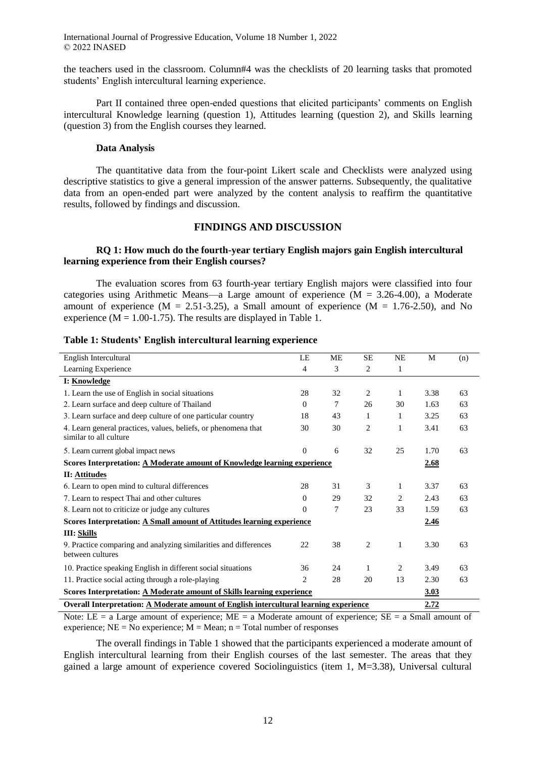the teachers used in the classroom. Column#4 was the checklists of 20 learning tasks that promoted students' English intercultural learning experience.

Part II contained three open-ended questions that elicited participants' comments on English intercultural Knowledge learning (question 1), Attitudes learning (question 2), and Skills learning (question 3) from the English courses they learned.

#### **Data Analysis**

The quantitative data from the four-point Likert scale and Checklists were analyzed using descriptive statistics to give a general impression of the answer patterns. Subsequently, the qualitative data from an open-ended part were analyzed by the content analysis to reaffirm the quantitative results, followed by findings and discussion.

## **FINDINGS AND DISCUSSION**

## **RQ 1: How much do the fourth-year tertiary English majors gain English intercultural learning experience from their English courses?**

The evaluation scores from 63 fourth-year tertiary English majors were classified into four categories using Arithmetic Means—a Large amount of experience  $(M = 3.26-4.00)$ , a Moderate amount of experience  $(M = 2.51-3.25)$ , a Small amount of experience  $(M = 1.76-2.50)$ , and No experience  $(M = 1.00-1.75)$ . The results are displayed in Table 1.

#### **Table 1: Students' English intercultural learning experience**

| English Intercultural                                                                          | LE             | ME | <b>SE</b> | NE             | M           | (n) |
|------------------------------------------------------------------------------------------------|----------------|----|-----------|----------------|-------------|-----|
| Learning Experience                                                                            | 4              | 3  | 2         | 1              |             |     |
| I: Knowledge                                                                                   |                |    |           |                |             |     |
| 1. Learn the use of English in social situations                                               | 28             | 32 | 2         | 1              | 3.38        | 63  |
| 2. Learn surface and deep culture of Thailand                                                  | $\Omega$       | 7  | 26        | 30             | 1.63        | 63  |
| 3. Learn surface and deep culture of one particular country                                    | 18             | 43 | 1         | 1              | 3.25        | 63  |
| 4. Learn general practices, values, beliefs, or phenomena that<br>similar to all culture       | 30             | 30 | 2         | 1              | 3.41        | 63  |
| 5. Learn current global impact news                                                            | $\Omega$       | 6  | 32        | 25             | 1.70        | 63  |
| Scores Interpretation: A Moderate amount of Knowledge learning experience                      |                |    |           |                | 2.68        |     |
| II: Attitudes                                                                                  |                |    |           |                |             |     |
| 6. Learn to open mind to cultural differences                                                  | 28             | 31 | 3         | 1              | 3.37        | 63  |
| 7. Learn to respect Thai and other cultures                                                    | $\Omega$       | 29 | 32        | $\overline{c}$ | 2.43        | 63  |
| 8. Learn not to criticize or judge any cultures                                                | $\Omega$       | 7  | 23        | 33             | 1.59        | 63  |
| Scores Interpretation: A Small amount of Attitudes learning experience                         |                |    |           |                | <u>2.46</u> |     |
| <b>III: Skills</b>                                                                             |                |    |           |                |             |     |
| 9. Practice comparing and analyzing similarities and differences<br>between cultures           | 22             | 38 | 2         | 1              | 3.30        | 63  |
| 10. Practice speaking English in different social situations                                   | 36             | 24 | 1         | 2              | 3.49        | 63  |
| 11. Practice social acting through a role-playing                                              | $\overline{c}$ | 28 | 20        | 13             | 2.30        | 63  |
| Scores Interpretation: A Moderate amount of Skills learning experience<br>3.03                 |                |    |           |                |             |     |
| Overall Interpretation: A Moderate amount of English intercultural learning experience<br>2.72 |                |    |           |                |             |     |

Note: LE = a Large amount of experience:  $ME = a$  Moderate amount of experience:  $SE = a$  Small amount of experience;  $NE = No$  experience;  $\dot{M} = Mean$ ; n = Total number of responses

The overall findings in Table 1 showed that the participants experienced a moderate amount of English intercultural learning from their English courses of the last semester. The areas that they gained a large amount of experience covered Sociolinguistics (item 1, M=3.38), Universal cultural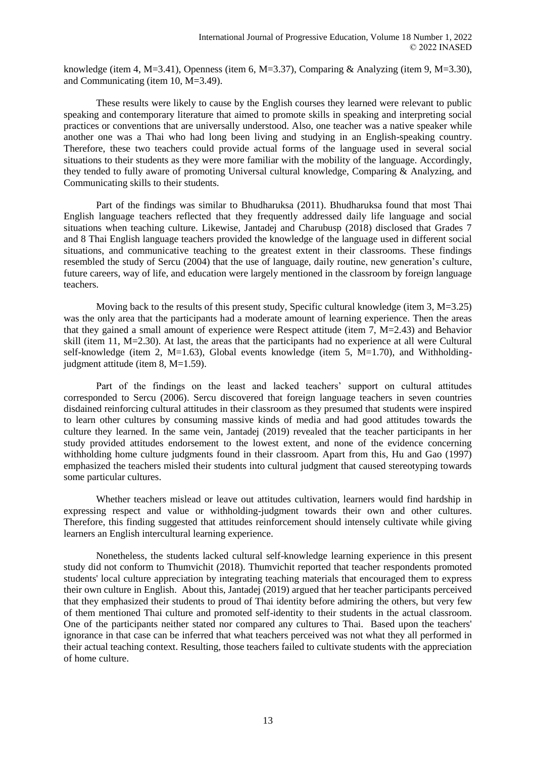knowledge (item 4, M=3.41), Openness (item 6, M=3.37), Comparing & Analyzing (item 9, M=3.30), and Communicating (item 10, M=3.49).

These results were likely to cause by the English courses they learned were relevant to public speaking and contemporary literature that aimed to promote skills in speaking and interpreting social practices or conventions that are universally understood. Also, one teacher was a native speaker while another one was a Thai who had long been living and studying in an English-speaking country. Therefore, these two teachers could provide actual forms of the language used in several social situations to their students as they were more familiar with the mobility of the language. Accordingly, they tended to fully aware of promoting Universal cultural knowledge, Comparing & Analyzing, and Communicating skills to their students.

Part of the findings was similar to Bhudharuksa (2011). Bhudharuksa found that most Thai English language teachers reflected that they frequently addressed daily life language and social situations when teaching culture. Likewise, Jantadej and Charubusp (2018) disclosed that Grades 7 and 8 Thai English language teachers provided the knowledge of the language used in different social situations, and communicative teaching to the greatest extent in their classrooms. These findings resembled the study of Sercu (2004) that the use of language, daily routine, new generation's culture, future careers, way of life, and education were largely mentioned in the classroom by foreign language teachers.

Moving back to the results of this present study, Specific cultural knowledge (item 3, M=3.25) was the only area that the participants had a moderate amount of learning experience. Then the areas that they gained a small amount of experience were Respect attitude (item 7, M=2.43) and Behavior skill (item 11, M=2.30). At last, the areas that the participants had no experience at all were Cultural self-knowledge (item 2, M=1.63), Global events knowledge (item 5,  $M=1.70$ ), and Withholdingjudgment attitude (item 8, M=1.59).

Part of the findings on the least and lacked teachers' support on cultural attitudes corresponded to Sercu (2006). Sercu discovered that foreign language teachers in seven countries disdained reinforcing cultural attitudes in their classroom as they presumed that students were inspired to learn other cultures by consuming massive kinds of media and had good attitudes towards the culture they learned. In the same vein, Jantadej (2019) revealed that the teacher participants in her study provided attitudes endorsement to the lowest extent, and none of the evidence concerning withholding home culture judgments found in their classroom. Apart from this, Hu and Gao (1997) emphasized the teachers misled their students into cultural judgment that caused stereotyping towards some particular cultures.

Whether teachers mislead or leave out attitudes cultivation, learners would find hardship in expressing respect and value or withholding-judgment towards their own and other cultures. Therefore, this finding suggested that attitudes reinforcement should intensely cultivate while giving learners an English intercultural learning experience.

Nonetheless, the students lacked cultural self-knowledge learning experience in this present study did not conform to Thumvichit (2018). Thumvichit reported that teacher respondents promoted students' local culture appreciation by integrating teaching materials that encouraged them to express their own culture in English. About this, Jantadej (2019) argued that her teacher participants perceived that they emphasized their students to proud of Thai identity before admiring the others, but very few of them mentioned Thai culture and promoted self-identity to their students in the actual classroom. One of the participants neither stated nor compared any cultures to Thai. Based upon the teachers' ignorance in that case can be inferred that what teachers perceived was not what they all performed in their actual teaching context. Resulting, those teachers failed to cultivate students with the appreciation of home culture.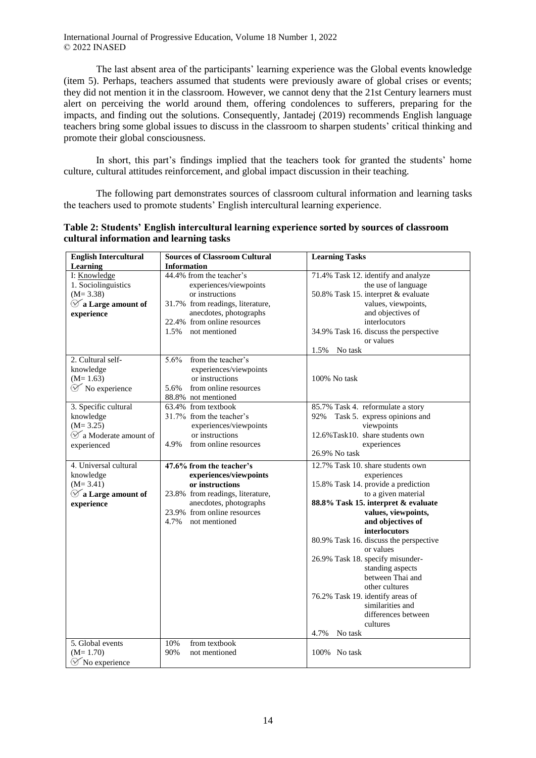The last absent area of the participants' learning experience was the Global events knowledge (item 5). Perhaps, teachers assumed that students were previously aware of global crises or events; they did not mention it in the classroom. However, we cannot deny that the 21st Century learners must alert on perceiving the world around them, offering condolences to sufferers, preparing for the impacts, and finding out the solutions. Consequently, Jantadej (2019) recommends English language teachers bring some global issues to discuss in the classroom to sharpen students' critical thinking and promote their global consciousness.

In short, this part's findings implied that the teachers took for granted the students' home culture, cultural attitudes reinforcement, and global impact discussion in their teaching.

The following part demonstrates sources of classroom cultural information and learning tasks the teachers used to promote students' English intercultural learning experience.

| <b>English Intercultural</b>            | <b>Sources of Classroom Cultural</b>                 | <b>Learning Tasks</b>                  |  |
|-----------------------------------------|------------------------------------------------------|----------------------------------------|--|
| <b>Learning</b>                         | <b>Information</b>                                   |                                        |  |
| I: Knowledge                            | 44.4% from the teacher's                             | 71.4% Task 12. identify and analyze    |  |
| 1. Sociolinguistics                     | experiences/viewpoints                               | the use of language                    |  |
| $(M = 3.38)$                            | or instructions                                      | 50.8% Task 15. interpret & evaluate    |  |
| $\mathcal{A}$ a Large amount of         | 31.7% from readings, literature,                     | values, viewpoints,                    |  |
| experience                              | anecdotes, photographs                               | and objectives of                      |  |
|                                         | 22.4% from online resources                          | interlocutors                          |  |
|                                         | 1.5%<br>not mentioned                                | 34.9% Task 16. discuss the perspective |  |
|                                         |                                                      | or values                              |  |
|                                         |                                                      | 1.5%<br>No task                        |  |
| 2. Cultural self-                       | from the teacher's<br>5.6%                           |                                        |  |
| knowledge                               | experiences/viewpoints                               |                                        |  |
| $(M=1.63)$                              | or instructions                                      | 100% No task                           |  |
| $\mathcal{V}$ No experience             | from online resources<br>5.6%                        |                                        |  |
|                                         | 88.8% not mentioned                                  |                                        |  |
| 3. Specific cultural                    | 63.4% from textbook                                  | 85.7% Task 4. reformulate a story      |  |
| knowledge                               | 31.7% from the teacher's                             | Task 5. express opinions and<br>92%    |  |
| $(M = 3.25)$                            | experiences/viewpoints                               | viewpoints                             |  |
| $\mathcal{V}$ a Moderate amount of      | or instructions                                      | 12.6% Task10. share students own       |  |
| experienced                             | 4.9%<br>from online resources                        | experiences                            |  |
|                                         |                                                      | 26.9% No task                          |  |
| 4. Universal cultural                   | 47.6% from the teacher's                             | 12.7% Task 10. share students own      |  |
| knowledge                               | experiences/viewpoints                               | experiences                            |  |
| $(M=3.41)$                              | or instructions                                      | 15.8% Task 14. provide a prediction    |  |
| $\mathcal{A}$ a Large amount of         | 23.8% from readings, literature,                     | to a given material                    |  |
| experience                              | anecdotes, photographs                               | 88.8% Task 15. interpret & evaluate    |  |
|                                         | 23.9% from online resources<br>4.7%<br>not mentioned | values, viewpoints,                    |  |
|                                         |                                                      | and objectives of<br>interlocutors     |  |
|                                         |                                                      | 80.9% Task 16. discuss the perspective |  |
|                                         |                                                      | or values                              |  |
|                                         |                                                      | 26.9% Task 18. specify misunder-       |  |
|                                         |                                                      | standing aspects                       |  |
|                                         |                                                      | between Thai and                       |  |
|                                         |                                                      | other cultures                         |  |
|                                         |                                                      | 76.2% Task 19. identify areas of       |  |
|                                         |                                                      | similarities and                       |  |
|                                         |                                                      | differences between                    |  |
|                                         |                                                      | cultures                               |  |
|                                         |                                                      | 4.7%<br>No task                        |  |
| 5. Global events                        | from textbook<br>10%                                 |                                        |  |
| $(M=1.70)$                              | 90%<br>not mentioned                                 | 100% No task                           |  |
| $(\vee\!\!\!\!\wedge)$<br>No experience |                                                      |                                        |  |

**Table 2: Students' English intercultural learning experience sorted by sources of classroom cultural information and learning tasks**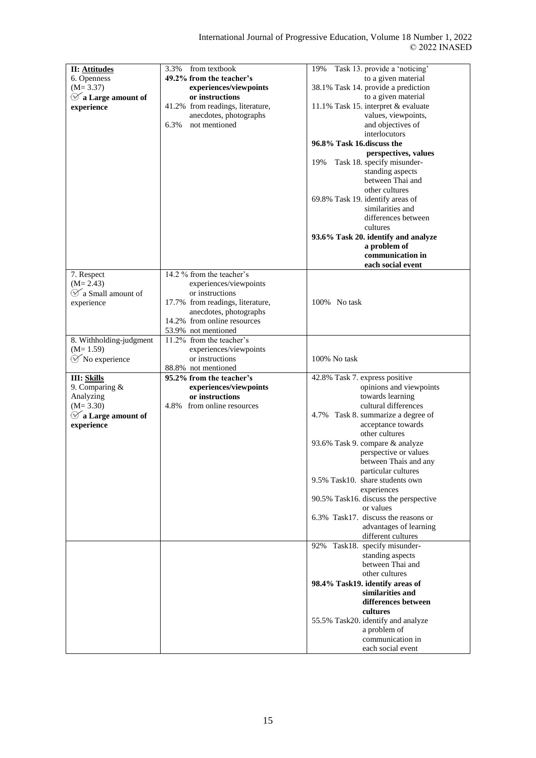| <b>II: Attitudes</b><br>6. Openness<br>$(M = 3.37)$<br>$\mathcal G$ a Large amount of<br>experience      | 3.3%<br>from textbook<br>49.2% from the teacher's<br>experiences/viewpoints<br>or instructions<br>41.2% from readings, literature,<br>anecdotes, photographs<br>6.3%<br>not mentioned      | Task 13. provide a 'noticing'<br>19%<br>to a given material<br>38.1% Task 14. provide a prediction<br>to a given material<br>11.1% Task 15. interpret & evaluate<br>values, viewpoints,<br>and objectives of<br>interlocutors<br>96.8% Task 16. discuss the<br>perspectives, values<br>Task 18. specify misunder-<br>19%<br>standing aspects<br>between Thai and<br>other cultures<br>69.8% Task 19. identify areas of<br>similarities and<br>differences between<br>cultures<br>93.6% Task 20. identify and analyze<br>a problem of<br>communication in<br>each social event |
|----------------------------------------------------------------------------------------------------------|--------------------------------------------------------------------------------------------------------------------------------------------------------------------------------------------|-------------------------------------------------------------------------------------------------------------------------------------------------------------------------------------------------------------------------------------------------------------------------------------------------------------------------------------------------------------------------------------------------------------------------------------------------------------------------------------------------------------------------------------------------------------------------------|
| 7. Respect<br>$(M=2.43)$<br>$\mathcal{A}$ a Small amount of<br>experience                                | 14.2 % from the teacher's<br>experiences/viewpoints<br>or instructions<br>17.7% from readings, literature,<br>anecdotes, photographs<br>14.2% from online resources<br>53.9% not mentioned | 100% No task                                                                                                                                                                                                                                                                                                                                                                                                                                                                                                                                                                  |
| 8. Withholding-judgment<br>$(M=1.59)$<br>$\mathcal{V}$ No experience                                     | 11.2% from the teacher's<br>experiences/viewpoints<br>or instructions<br>88.8% not mentioned                                                                                               | 100% No task                                                                                                                                                                                                                                                                                                                                                                                                                                                                                                                                                                  |
| III: Skills<br>9. Comparing &<br>Analyzing<br>$(M=3.30)$<br>$\mathcal G$ a Large amount of<br>experience | 95.2% from the teacher's<br>experiences/viewpoints<br>or instructions<br>4.8%<br>from online resources                                                                                     | 42.8% Task 7. express positive<br>opinions and viewpoints<br>towards learning<br>cultural differences<br>4.7% Task 8. summarize a degree of<br>acceptance towards<br>other cultures<br>93.6% Task 9. compare & analyze<br>perspective or values<br>between Thais and any<br>particular cultures<br>9.5% Task10. share students own<br>experiences<br>90.5% Task16. discuss the perspective<br>or values<br>6.3% Task17. discuss the reasons or<br>advantages of learning<br>different cultures                                                                                |
|                                                                                                          |                                                                                                                                                                                            | 92% Task18. specify misunder-<br>standing aspects<br>between Thai and<br>other cultures<br>98.4% Task19. identify areas of<br>similarities and<br>differences between<br>cultures<br>55.5% Task20. identify and analyze<br>a problem of<br>communication in<br>each social event                                                                                                                                                                                                                                                                                              |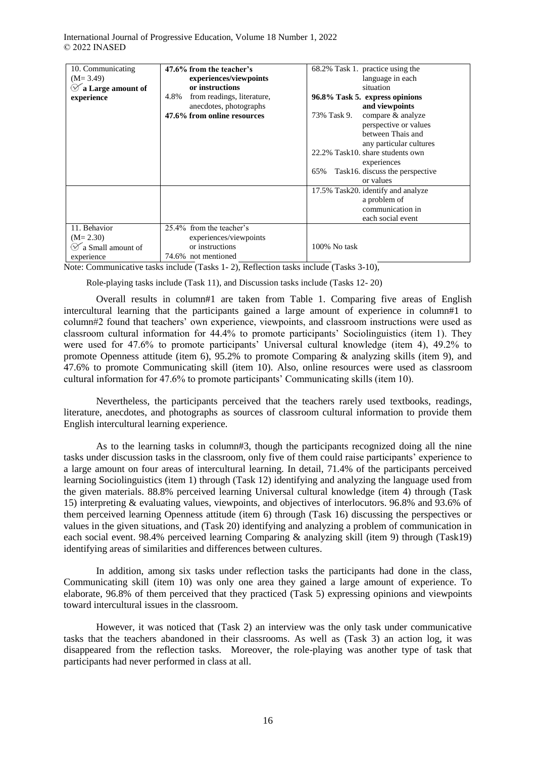| 10. Communicating<br>$(M=3.49)$<br>$\mathcal G$ a Large amount of<br>experience | 47.6% from the teacher's<br>experiences/viewpoints<br>or instructions<br>from readings, literature,<br>4.8%<br>anecdotes, photographs<br>47.6% from online resources | 68.2% Task 1. practice using the<br>language in each<br>situation<br>96.8% Task 5. express opinions<br>and viewpoints<br>compare & analyze<br>73% Task 9.<br>perspective or values<br>between Thais and<br>any particular cultures<br>22.2% Task10, share students own<br>experiences<br>Task16. discuss the perspective<br>65%<br>or values |
|---------------------------------------------------------------------------------|----------------------------------------------------------------------------------------------------------------------------------------------------------------------|----------------------------------------------------------------------------------------------------------------------------------------------------------------------------------------------------------------------------------------------------------------------------------------------------------------------------------------------|
| 11. Behavior<br>$(M = 2.30)$<br>a Small amount of<br>experience                 | 25.4% from the teacher's<br>experiences/viewpoints<br>or instructions<br>74.6% not mentioned                                                                         | 17.5% Task20. identify and analyze<br>a problem of<br>communication in<br>each social event<br>$100\%$ No task                                                                                                                                                                                                                               |

Note: Communicative tasks include (Tasks 1- 2), Reflection tasks include (Tasks 3-10),

Role-playing tasks include (Task 11), and Discussion tasks include (Tasks 12- 20)

Overall results in column#1 are taken from Table 1. Comparing five areas of English intercultural learning that the participants gained a large amount of experience in column#1 to column#2 found that teachers' own experience, viewpoints, and classroom instructions were used as classroom cultural information for 44.4% to promote participants' Sociolinguistics (item 1). They were used for 47.6% to promote participants' Universal cultural knowledge (item 4), 49.2% to promote Openness attitude (item 6), 95.2% to promote Comparing & analyzing skills (item 9), and 47.6% to promote Communicating skill (item 10). Also, online resources were used as classroom cultural information for 47.6% to promote participants' Communicating skills (item 10).

Nevertheless, the participants perceived that the teachers rarely used textbooks, readings, literature, anecdotes, and photographs as sources of classroom cultural information to provide them English intercultural learning experience.

As to the learning tasks in column#3, though the participants recognized doing all the nine tasks under discussion tasks in the classroom, only five of them could raise participants' experience to a large amount on four areas of intercultural learning. In detail, 71.4% of the participants perceived learning Sociolinguistics (item 1) through (Task 12) identifying and analyzing the language used from the given materials. 88.8% perceived learning Universal cultural knowledge (item 4) through (Task 15) interpreting & evaluating values, viewpoints, and objectives of interlocutors. 96.8% and 93.6% of them perceived learning Openness attitude (item 6) through (Task 16) discussing the perspectives or values in the given situations, and (Task 20) identifying and analyzing a problem of communication in each social event. 98.4% perceived learning Comparing & analyzing skill (item 9) through (Task19) identifying areas of similarities and differences between cultures.

In addition, among six tasks under reflection tasks the participants had done in the class, Communicating skill (item 10) was only one area they gained a large amount of experience. To elaborate, 96.8% of them perceived that they practiced (Task 5) expressing opinions and viewpoints toward intercultural issues in the classroom.

However, it was noticed that (Task 2) an interview was the only task under communicative tasks that the teachers abandoned in their classrooms. As well as (Task 3) an action log, it was disappeared from the reflection tasks. Moreover, the role-playing was another type of task that participants had never performed in class at all.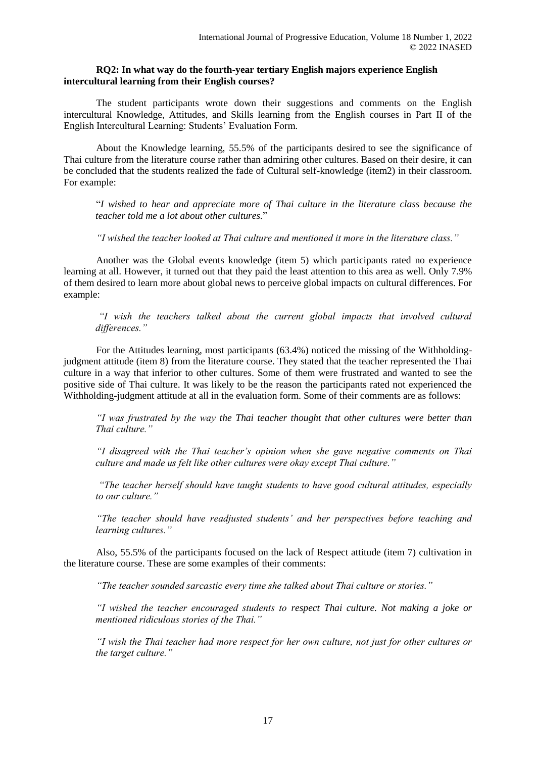### **RQ2: In what way do the fourth-year tertiary English majors experience English intercultural learning from their English courses?**

The student participants wrote down their suggestions and comments on the English intercultural Knowledge, Attitudes, and Skills learning from the English courses in Part II of the English Intercultural Learning: Students' Evaluation Form.

About the Knowledge learning, 55.5% of the participants desired to see the significance of Thai culture from the literature course rather than admiring other cultures. Based on their desire, it can be concluded that the students realized the fade of Cultural self-knowledge (item2) in their classroom. For example:

"*I wished to hear and appreciate more of Thai culture in the literature class because the teacher told me a lot about other cultures.*"

*"I wished the teacher looked at Thai culture and mentioned it more in the literature class."*

Another was the Global events knowledge (item 5) which participants rated no experience learning at all. However, it turned out that they paid the least attention to this area as well. Only 7.9% of them desired to learn more about global news to perceive global impacts on cultural differences. For example:

*"I wish the teachers talked about the current global impacts that involved cultural differences."*

For the Attitudes learning, most participants (63.4%) noticed the missing of the Withholdingjudgment attitude (item 8) from the literature course. They stated that the teacher represented the Thai culture in a way that inferior to other cultures. Some of them were frustrated and wanted to see the positive side of Thai culture. It was likely to be the reason the participants rated not experienced the Withholding-judgment attitude at all in the evaluation form. Some of their comments are as follows:

*"I was frustrated by the way the Thai teacher thought that other cultures were better than Thai culture."* 

*"I disagreed with the Thai teacher's opinion when she gave negative comments on Thai culture and made us felt like other cultures were okay except Thai culture."*

*"The teacher herself should have taught students to have good cultural attitudes, especially to our culture."*

*"The teacher should have readjusted students' and her perspectives before teaching and learning cultures."*

Also, 55.5% of the participants focused on the lack of Respect attitude (item 7) cultivation in the literature course. These are some examples of their comments:

*"The teacher sounded sarcastic every time she talked about Thai culture or stories."* 

*"I wished the teacher encouraged students to respect Thai culture. Not making a joke or mentioned ridiculous stories of the Thai."*

*"I wish the Thai teacher had more respect for her own culture, not just for other cultures or the target culture."*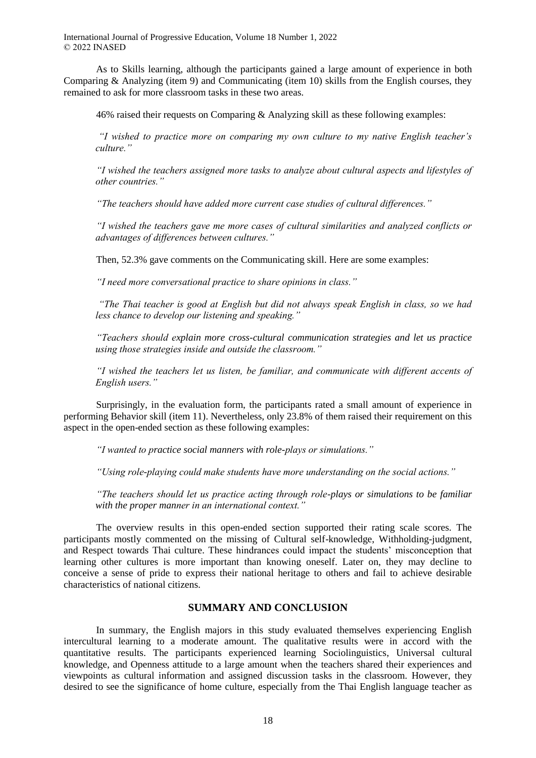As to Skills learning, although the participants gained a large amount of experience in both Comparing  $\&$  Analyzing (item 9) and Communicating (item 10) skills from the English courses, they remained to ask for more classroom tasks in these two areas.

46% raised their requests on Comparing & Analyzing skill as these following examples:

*"I wished to practice more on comparing my own culture to my native English teacher's culture."* 

*"I wished the teachers assigned more tasks to analyze about cultural aspects and lifestyles of other countries."*

*"The teachers should have added more current case studies of cultural differences."*

*"I wished the teachers gave me more cases of cultural similarities and analyzed conflicts or advantages of differences between cultures."*

Then, 52.3% gave comments on the Communicating skill. Here are some examples:

*"I need more conversational practice to share opinions in class."*

*"The Thai teacher is good at English but did not always speak English in class, so we had less chance to develop our listening and speaking."* 

*"Teachers should explain more cross-cultural communication strategies and let us practice using those strategies inside and outside the classroom."*

*"I wished the teachers let us listen, be familiar, and communicate with different accents of English users."*

Surprisingly, in the evaluation form, the participants rated a small amount of experience in performing Behavior skill (item 11). Nevertheless, only 23.8% of them raised their requirement on this aspect in the open-ended section as these following examples:

*"I wanted to practice social manners with role-plays or simulations."*

*"Using role-playing could make students have more understanding on the social actions."*

*"The teachers should let us practice acting through role-plays or simulations to be familiar with the proper manner in an international context."*

The overview results in this open-ended section supported their rating scale scores. The participants mostly commented on the missing of Cultural self-knowledge, Withholding-judgment, and Respect towards Thai culture. These hindrances could impact the students' misconception that learning other cultures is more important than knowing oneself. Later on, they may decline to conceive a sense of pride to express their national heritage to others and fail to achieve desirable characteristics of national citizens.

## **SUMMARY AND CONCLUSION**

In summary, the English majors in this study evaluated themselves experiencing English intercultural learning to a moderate amount. The qualitative results were in accord with the quantitative results. The participants experienced learning Sociolinguistics, Universal cultural knowledge, and Openness attitude to a large amount when the teachers shared their experiences and viewpoints as cultural information and assigned discussion tasks in the classroom. However, they desired to see the significance of home culture, especially from the Thai English language teacher as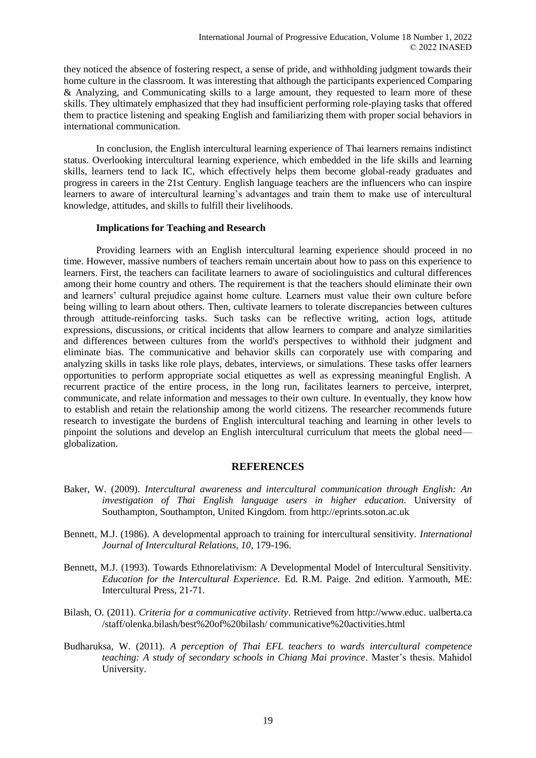they noticed the absence of fostering respect, a sense of pride, and withholding judgment towards their home culture in the classroom. It was interesting that although the participants experienced Comparing & Analyzing, and Communicating skills to a large amount, they requested to learn more of these skills. They ultimately emphasized that they had insufficient performing role-playing tasks that offered them to practice listening and speaking English and familiarizing them with proper social behaviors in international communication.

In conclusion, the English intercultural learning experience of Thai learners remains indistinct status. Overlooking intercultural learning experience, which embedded in the life skills and learning skills, learners tend to lack IC, which effectively helps them become global-ready graduates and progress in careers in the 21st Century. English language teachers are the influencers who can inspire learners to aware of intercultural learning's advantages and train them to make use of intercultural knowledge, attitudes, and skills to fulfill their livelihoods.

#### **Implications for Teaching and Research**

Providing learners with an English intercultural learning experience should proceed in no time. However, massive numbers of teachers remain uncertain about how to pass on this experience to learners. First, the teachers can facilitate learners to aware of sociolinguistics and cultural differences among their home country and others. The requirement is that the teachers should eliminate their own and learners' cultural prejudice against home culture. Learners must value their own culture before being willing to learn about others. Then, cultivate learners to tolerate discrepancies between cultures through attitude-reinforcing tasks. Such tasks can be reflective writing, action logs, attitude expressions, discussions, or critical incidents that allow learners to compare and analyze similarities and differences between cultures from the world's perspectives to withhold their judgment and eliminate bias. The communicative and behavior skills can corporately use with comparing and analyzing skills in tasks like role plays, debates, interviews, or simulations. These tasks offer learners opportunities to perform appropriate social etiquettes as well as expressing meaningful English. A recurrent practice of the entire process, in the long run, facilitates learners to perceive, interpret, communicate, and relate information and messages to their own culture. In eventually, they know how to establish and retain the relationship among the world citizens. The researcher recommends future research to investigate the burdens of English intercultural teaching and learning in other levels to pinpoint the solutions and develop an English intercultural curriculum that meets the global need globalization.

## **REFERENCES**

- Baker, W. (2009). *Intercultural awareness and intercultural communication through English: An investigation of Thai English language users in higher education*. University of Southampton, Southampton, United Kingdom. from [http://eprints.soton.ac.uk](http://eprints.soton.ac.uk/)
- Bennett, M.J. (1986). A developmental approach to training for intercultural sensitivity. *International Journal of Intercultural Relations, 10*, 179-196.
- Bennett, M.J. (1993). Towards Ethnorelativism: A Developmental Model of Intercultural Sensitivity. *Education for the Intercultural Experience.* Ed. R.M. Paige. 2nd edition. Yarmouth, ME: Intercultural Press, 21-71.
- Bilash, O. (2011). *Criteria for a communicative activity*. Retrieved from [http://www.educ.](http://www.educ/) ualberta.ca /staff/olenka.bilash/best%20of%20bilash/ communicative%20activities.html
- Budharuksa, W. (2011). *A perception of Thai EFL teachers to wards intercultural competence teaching: A study of secondary schools in Chiang Mai province*. Master's thesis. Mahidol University.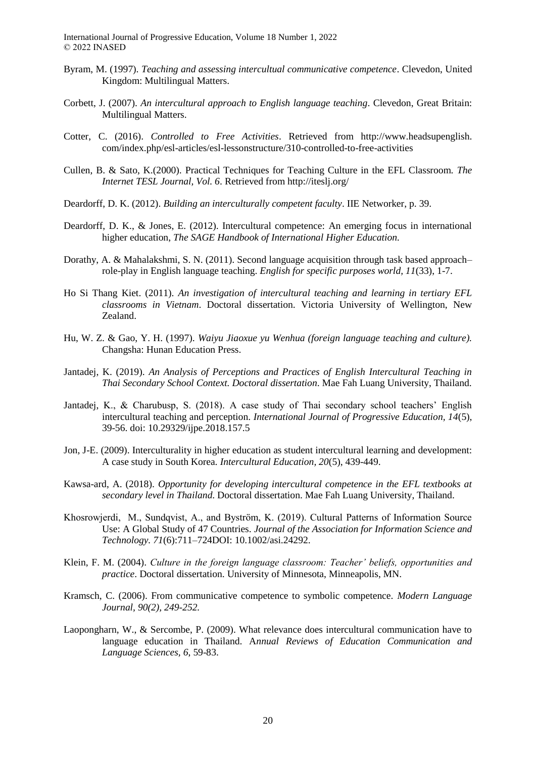- Byram, M. (1997). *Teaching and assessing intercultual communicative competence*. Clevedon, United Kingdom: Multilingual Matters.
- Corbett, J. (2007). *An intercultural approach to English language teaching*. Clevedon, Great Britain: Multilingual Matters.
- Cotter, C. (2016). *Controlled to Free Activities*. Retrieved from [http://www.headsupenglish.](http://www.headsupenglish/) com/index.php/esl-articles/esl-lessonstructure/310-controlled-to-free-activities
- Cullen, B. & Sato, K.(2000). Practical Techniques for Teaching Culture in the EFL Classroom. *The Internet TESL Journal, Vol. 6*. Retrieved from<http://iteslj.org/>
- Deardorff, D. K. (2012). *Building an interculturally competent faculty*. IIE Networker, p. 39.
- Deardorff, D. K., & Jones, E. (2012). Intercultural competence: An emerging focus in international higher education, *The SAGE Handbook of International Higher Education.*
- Dorathy, A. & Mahalakshmi, S. N. (2011). Second language acquisition through task based approach– role-play in English language teaching. *English for specific purposes world, 11*(33), 1-7.
- Ho Si Thang Kiet. (2011). *An investigation of intercultural teaching and learning in tertiary EFL classrooms in Vietnam*. Doctoral dissertation. Victoria University of Wellington, New Zealand.
- Hu, W. Z. & Gao, Y. H. (1997). *Waiyu Jiaoxue yu Wenhua (foreign language teaching and culture).* Changsha: Hunan Education Press.
- Jantadej, K. (2019). *An Analysis of Perceptions and Practices of English Intercultural Teaching in Thai Secondary School Context. Doctoral dissertation*. Mae Fah Luang University, Thailand.
- Jantadej, K., & Charubusp, S. (2018). A case study of Thai secondary school teachers' English intercultural teaching and perception. *International Journal of Progressive Education, 14*(5), 39-56. doi: 10.29329/ijpe.2018.157.5
- Jon, J-E. (2009). Interculturality in higher education as student intercultural learning and development: A case study in South Korea. *Intercultural Education, 20*(5), 439-449.
- Kawsa-ard, A. (2018). *Opportunity for developing intercultural competence in the EFL textbooks at secondary level in Thailand*. Doctoral dissertation. Mae Fah Luang University, Thailand.
- Khosrowjerdi, M., Sundqvist, A., and Byström, K. (2019). Cultural Patterns of Information Source Use: A Global Study of 47 Countries. *Journal of the Association for Information Science and Technology. 71*(6):711–724DOI: 10.1002/asi.24292.
- Klein, F. M. (2004). *Culture in the foreign language classroom: Teacher' beliefs, opportunities and practice*. Doctoral dissertation. University of Minnesota, Minneapolis, MN.
- Kramsch, C. (2006). From communicative competence to symbolic competence. *Modern Language Journal, 90(2), 249-252.*
- Laopongharn, W., & Sercombe, P. (2009). What relevance does intercultural communication have to language education in Thailand. A*nnual Reviews of Education Communication and Language Sciences, 6*, 59-83.